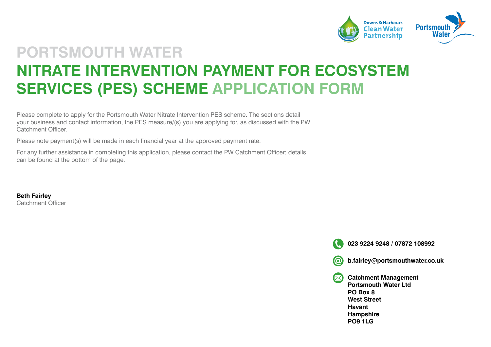

### **PORTSMOUTH WATER NITRATE INTERVENTION PAYMENT FOR ECOSYSTEM SERVICES (PES) SCHEME APPLICATION FORM**

Please complete to apply for the Portsmouth Water Nitrate Intervention PES scheme. The sections detail your business and contact information, the PES measure/(s) you are applying for, as discussed with the PW Catchment Officer.

Please note payment(s) will be made in each financial year at the approved payment rate.

For any further assistance in completing this application, please contact the PW Catchment Officer; details can be found at the bottom of the page.

**Beth Fairley**  Catchment Officer

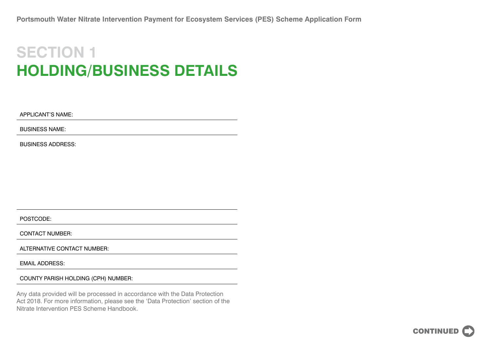## **SECTION 1 HOLDING/BUSINESS DETAILS**

APPLICANT'S NAME:

BUSINESS NAME:

BUSINESS ADDRESS:

POSTCODE:

CONTACT NUMBER:

ALTERNATIVE CONTACT NUMBER:

EMAIL ADDRESS:

COUNTY PARISH HOLDING (CPH) NUMBER:

Any data provided will be processed in accordance with the Data Protection Act 2018. For more information, please see the 'Data Protection' section of the Nitrate Intervention PES Scheme Handbook.

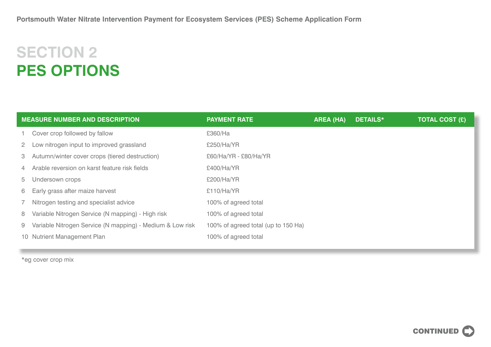# **SECTION 2 PES OPTIONS**

| <b>MEASURE NUMBER AND DESCRIPTION</b> |                                                           | <b>PAYMENT RATE</b>                 | <b>AREA (HA)</b> | <b>DETAILS*</b> | <b>TOTAL COST (£)</b> |
|---------------------------------------|-----------------------------------------------------------|-------------------------------------|------------------|-----------------|-----------------------|
|                                       | Cover crop followed by fallow                             | £360/Ha                             |                  |                 |                       |
| $\mathbf{2}$                          | Low nitrogen input to improved grassland                  | £250/Ha/YR                          |                  |                 |                       |
| 3                                     | Autumn/winter cover crops (tiered destruction)            | £60/Ha/YR - £80/Ha/YR               |                  |                 |                       |
| $\overline{4}$                        | Arable reversion on karst feature risk fields             | £400/Ha/YR                          |                  |                 |                       |
| 5                                     | Undersown crops                                           | £200/Ha/YR                          |                  |                 |                       |
| 6                                     | Early grass after maize harvest                           | £110/Ha/YR                          |                  |                 |                       |
|                                       | Nitrogen testing and specialist advice                    | 100% of agreed total                |                  |                 |                       |
| 8                                     | Variable Nitrogen Service (N mapping) - High risk         | 100% of agreed total                |                  |                 |                       |
| 9                                     | Variable Nitrogen Service (N mapping) - Medium & Low risk | 100% of agreed total (up to 150 Ha) |                  |                 |                       |
|                                       | 10 Nutrient Management Plan                               | 100% of agreed total                |                  |                 |                       |
|                                       |                                                           |                                     |                  |                 |                       |

\*eg cover crop mix

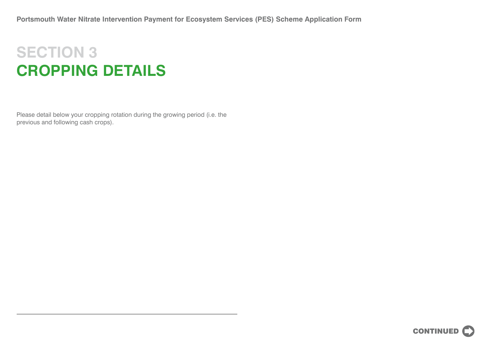## **SECTION 3 CROPPING DETAILS**

Please detail below your cropping rotation during the growing period (i.e. the previous and following cash crops).

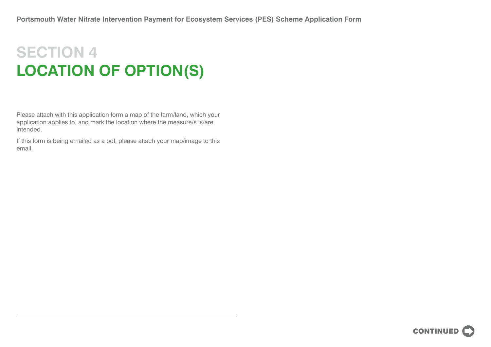# **SECTION 4 LOCATION OF OPTION(S)**

Please attach with this application form a map of the farm/land, which your application applies to, and mark the location where the measure/s is/are intended.

If this form is being emailed as a pdf, please attach your map/image to this email.